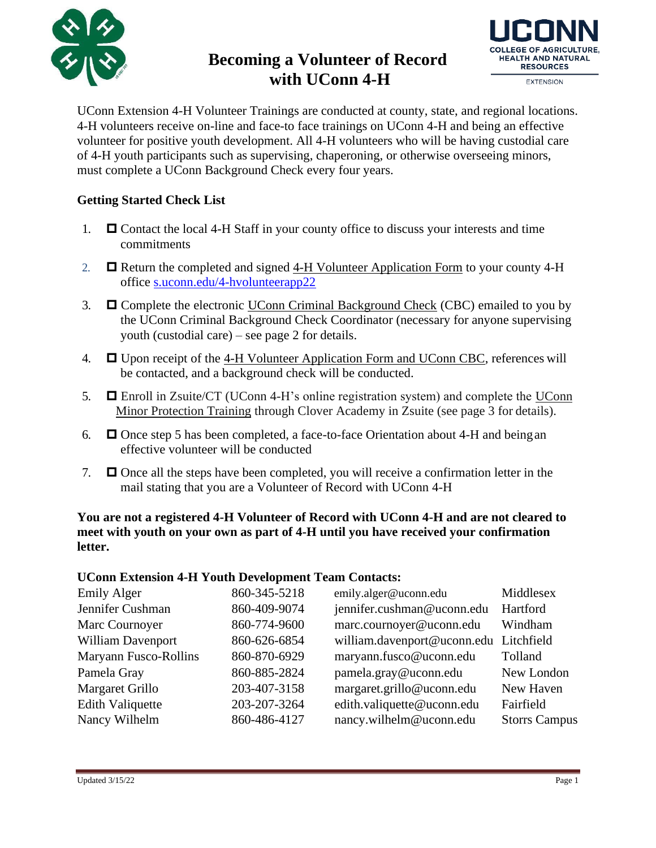

# **Becoming a Volunteer of Record with UConn 4-H**



UConn Extension 4-H Volunteer Trainings are conducted at county, state, and regional locations. 4-H volunteers receive on-line and face-to face trainings on UConn 4-H and being an effective volunteer for positive youth development. All 4-H volunteers who will be having custodial care of 4-H youth participants such as supervising, chaperoning, or otherwise overseeing minors, must complete a UConn Background Check every four years.

### **Getting Started Check List**

- 1.  $\Box$  Contact the local 4-H Staff in your county office to discuss your interests and time commitments
- 2. **E** Return the completed and signed 4-H Volunteer [Application F](http://www.cag.uconn.edu/ces/4H/documents/VolunteerApplication2_007.doc)orm to your county 4-H office [s.uconn.edu/4-hvolunteerapp22](https://4-h.extension.uconn.edu/wp-content/uploads/sites/3389/2021/11/Volunteer-Application-Form.pdf)
- 3.  $\Box$  Complete the electronic UConn Criminal Background Check (CBC) emailed to you by the UConn Criminal Background Check Coordinator (necessary for anyone supervising youth (custodial care) – see page 2 for details.
- 4.  $\Box$  Upon receipt of the 4-H Volunteer Application Form and UConn CBC, references will be contacted, and a background check will be conducted.
- 5. **E** Enroll in Zsuite/CT (UConn 4-H's online registration system) and complete the UConn Minor Protection Training through Clover Academy in Zsuite (see page 3 for details).
- 6.  $\Box$  Once step 5 has been completed, a face-to-face Orientation about 4-H and being an effective volunteer will be conducted
- 7.  $\Box$  Once all the steps have been completed, you will receive a confirmation letter in the mail stating that you are a Volunteer of Record with UConn 4-H

**You are not a registered 4-H Volunteer of Record with UConn 4-H and are not cleared to meet with youth on your own as part of 4-H until you have received your confirmation letter.**

#### **UConn Extension 4-H Youth Development Team Contacts:**

| <b>Emily Alger</b>      | 860-345-5218 | emily.alger@uconn.edu                  | Middlesex            |
|-------------------------|--------------|----------------------------------------|----------------------|
| Jennifer Cushman        | 860-409-9074 | jennifer.cushman@uconn.edu             | Hartford             |
| Marc Cournoyer          | 860-774-9600 | marc.cournoyer@uconn.edu               | Windham              |
| William Davenport       | 860-626-6854 | william.davenport@uconn.edu Litchfield |                      |
| Maryann Fusco-Rollins   | 860-870-6929 | maryann.fusco@uconn.edu                | Tolland              |
| Pamela Gray             | 860-885-2824 | pamela.gray@uconn.edu                  | New London           |
| Margaret Grillo         | 203-407-3158 | margaret.grillo@uconn.edu              | New Haven            |
| <b>Edith Valiquette</b> | 203-207-3264 | edith.valiquette@uconn.edu             | Fairfield            |
| Nancy Wilhelm           | 860-486-4127 | nancy.wilhelm@uconn.edu                | <b>Storrs Campus</b> |
|                         |              |                                        |                      |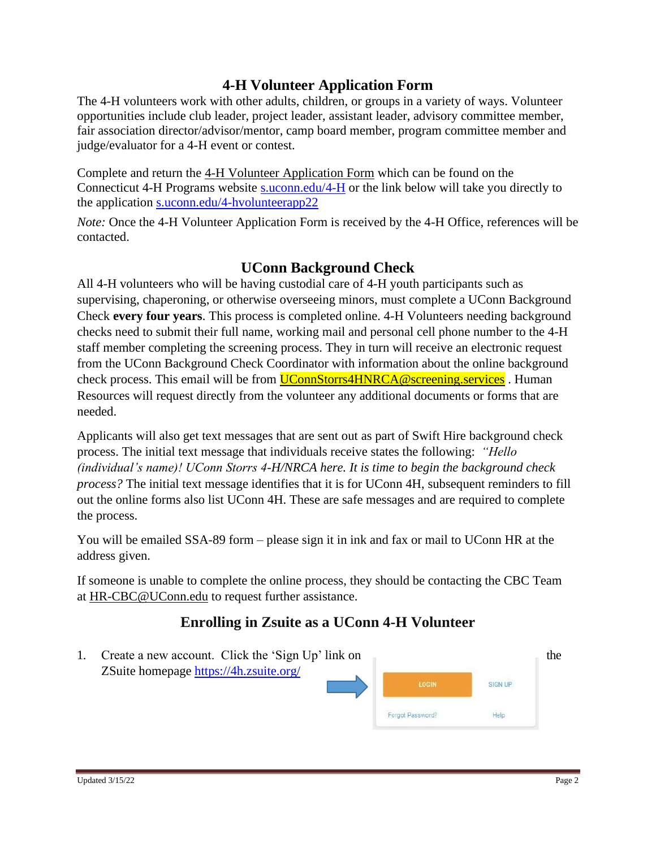## **4-H Volunteer Application Form**

The 4-H volunteers work with other adults, children, or groups in a variety of ways. Volunteer opportunities include club leader, project leader, assistant leader, advisory committee member, fair association director/advisor/mentor, camp board member, program committee member and judge/evaluator for a 4-H event or contest.

Complete and return the 4-H Volunteer Application Form which can be found on the Connecticut 4-H Programs website [s.uconn.edu/4-H](https://4-h.extension.uconn.edu/) or the link below will take you directly to the application [s.uconn.edu/4-hvolunteerapp22](https://4-h.extension.uconn.edu/wp-content/uploads/sites/3389/2021/11/Volunteer-Application-Form.pdf)

*Note:* Once the 4-H Volunteer Application Form is received by the 4-H Office, references will be contacted.

### **UConn Background Check**

All 4-H volunteers who will be having custodial care of 4-H youth participants such as supervising, chaperoning, or otherwise overseeing minors, must complete a UConn Background Check **every four years**. This process is completed online. 4-H Volunteers needing background checks need to submit their full name, working mail and personal cell phone number to the 4-H staff member completing the screening process. They in turn will receive an electronic request from the UConn Background Check Coordinator with information about the online background check process. This email will be from **UConnStorrs4HNRCA@screening.services**. Human Resources will request directly from the volunteer any additional documents or forms that are needed.

Applicants will also get text messages that are sent out as part of Swift Hire background check process. The initial text message that individuals receive states the following: *"Hello (individual's name)! UConn Storrs 4-H/NRCA here. It is time to begin the background check process?* The initial text message identifies that it is for UConn 4H, subsequent reminders to fill out the online forms also list UConn 4H. These are safe messages and are required to complete the process.

You will be emailed SSA-89 form – please sign it in ink and fax or mail to UConn HR at the address given.

If someone is unable to complete the online process, they should be contacting the CBC Team at [HR-CBC@UConn.edu](mailto:HR-CBC@UConn.edu) to request further assistance.

# **Enrolling in Zsuite as a UConn 4-H Volunteer**

1. Create a new account. Click the 'Sign Up' link on ZSuite homepage <https://4h.zsuite.org/>**SIGN UP** Forgot Password? Help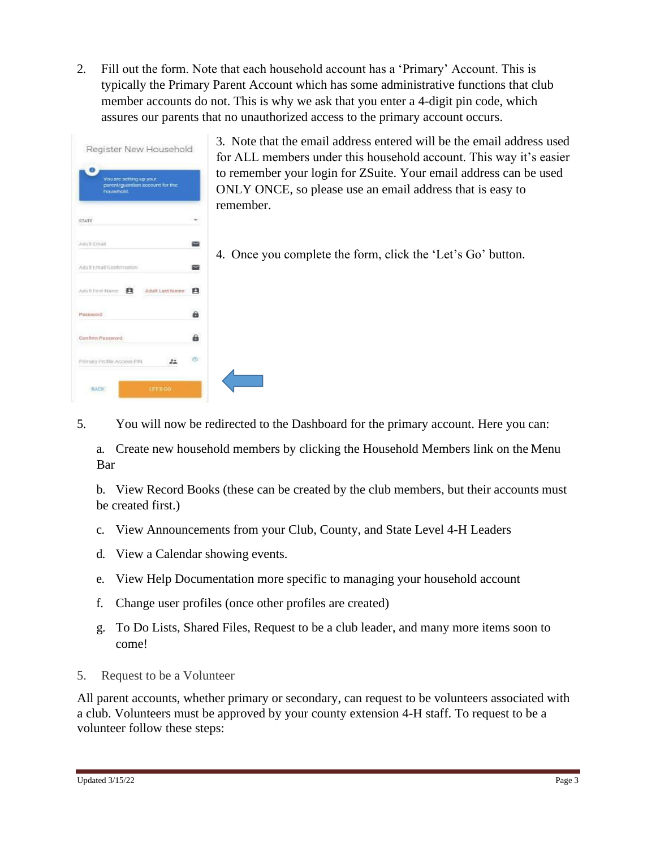2. Fill out the form. Note that each household account has a 'Primary' Account. This is typically the Primary Parent Account which has some administrative functions that club member accounts do not. This is why we ask that you enter a 4-digit pin code, which assures our parents that no unauthorized access to the primary account occurs.

| Register New Household                                                   |    | 3. I<br>for |
|--------------------------------------------------------------------------|----|-------------|
| You are setting up your<br>parent/guardian account for the<br>household. |    | to r<br>ON  |
| STATE                                                                    |    | rem         |
| Adult Fmall                                                              |    |             |
| Adult Fmail Confirmation                                                 |    |             |
| 自<br>Adult Last Name<br>Adult First Name                                 |    |             |
| Password                                                                 | a  |             |
| Confirm Password                                                         | а  |             |
| Primary Profile Access PIN                                               | a. |             |
| <b>BACK</b><br><b>IFTS GO</b>                                            |    |             |

Note that the email address entered will be the email address used ALL members under this household account. This way it's easier emember your login for ZSuite. Your email address can be used LY ONCE, so please use an email address that is easy to ember.

Once you complete the form, click the 'Let's Go' button.

5. You will now be redirected to the Dashboard for the primary account. Here you can:

a. Create new household members by clicking the Household Members link on the Menu Bar

b. View Record Books (these can be created by the club members, but their accounts must be created first.)

- c. View Announcements from your Club, County, and State Level 4-H Leaders
- d. View a Calendar showing events.
- e. View Help Documentation more specific to managing your household account
- f. Change user profiles (once other profiles are created)
- g. To Do Lists, Shared Files, Request to be a club leader, and many more items soon to come!
- 5. Request to be a Volunteer

All parent accounts, whether primary or secondary, can request to be volunteers associated with a club. Volunteers must be approved by your county extension 4-H staff. To request to be a volunteer follow these steps: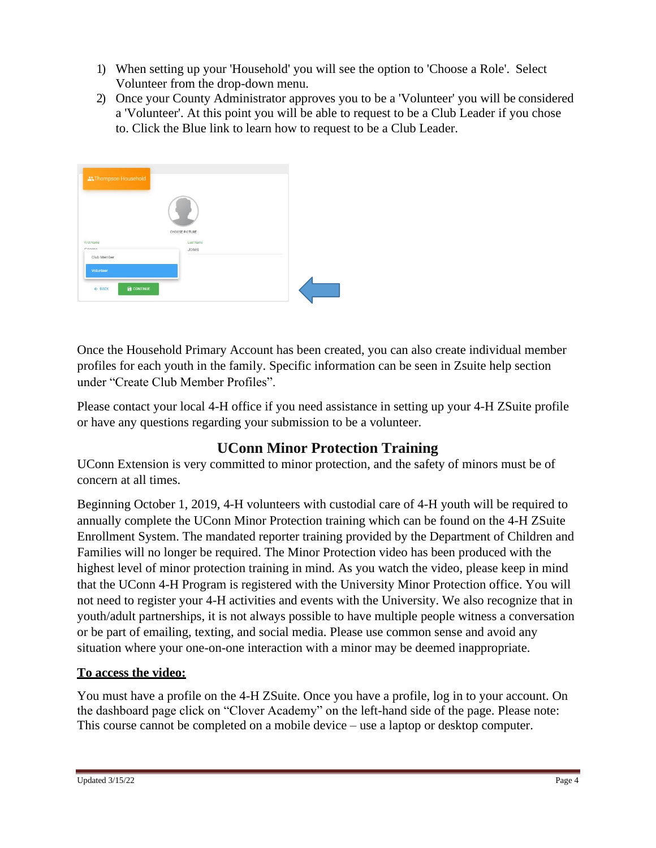- 1) When setting up your 'Household' you will see the option to 'Choose a Role'. Select Volunteer from the drop-down menu.
- 2) Once your County Administrator approves you to be a 'Volunteer' you will be considered a 'Volunteer'. At this point you will be able to request to be a Club Leader if you chose to. Click the Blue link to learn how to request to be a Club Leader.



Once the Household Primary Account has been created, you can also create individual member profiles for each youth in the family. Specific information can be seen in Zsuite help section under "Create Club Member Profiles".

Please contact your local 4-H office if you need assistance in setting up your 4-H ZSuite profile or have any questions regarding your submission to be a volunteer.

# **UConn Minor Protection Training**

UConn Extension is very committed to minor protection, and the safety of minors must be of concern at all times.

Beginning October 1, 2019, 4-H volunteers with custodial care of 4-H youth will be required to annually complete the UConn Minor Protection training which can be found on the 4-H ZSuite Enrollment System. The mandated reporter training provided by the Department of Children and Families will no longer be required. The Minor Protection video has been produced with the highest level of minor protection training in mind. As you watch the video, please keep in mind that the UConn 4-H Program is registered with the University Minor Protection office. You will not need to register your 4-H activities and events with the University. We also recognize that in youth/adult partnerships, it is not always possible to have multiple people witness a conversation or be part of emailing, texting, and social media. Please use common sense and avoid any situation where your one-on-one interaction with a minor may be deemed inappropriate.

### **To access the video:**

You must have a profile on the 4-H ZSuite. Once you have a profile, log in to your account. On the dashboard page click on "Clover Academy" on the left-hand side of the page. Please note: This course cannot be completed on a mobile device – use a laptop or desktop computer.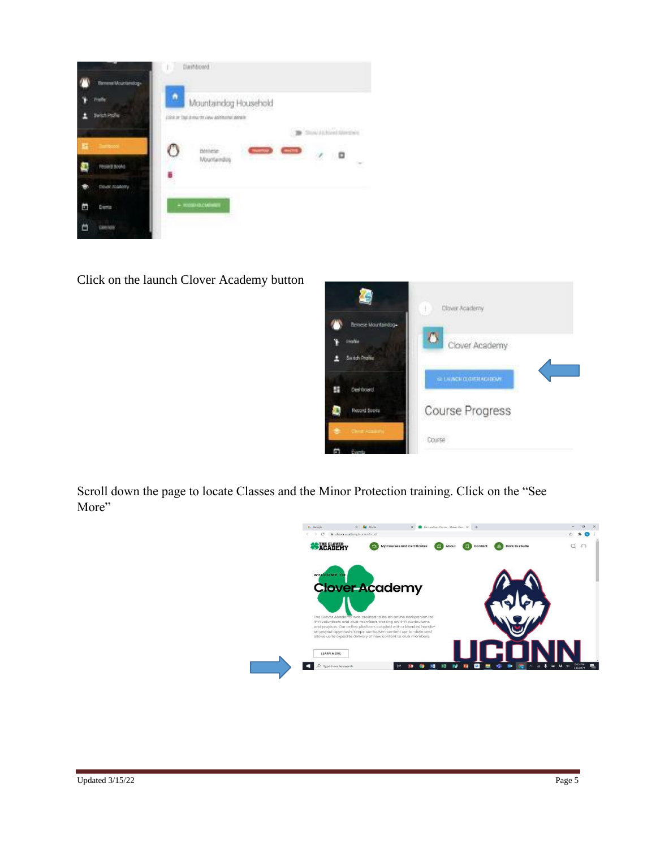|                       | Dashbood<br>m                                  |
|-----------------------|------------------------------------------------|
| Element Mounterstog-  |                                                |
| talle                 | ٨<br>Mountaindog Household                     |
| <b>Switch Profile</b> | COVE or TapEd country your additional details. |
|                       | n ac<br>Total Al-Ford Margins                  |
|                       | NOWA<br>$-102$<br>$\alpha$ in                  |
| Fecera acono          | Mountainãos<br>π<br><b>BOOK AND THE</b>        |
| Doubl Academy         |                                                |
| Ε<br>Dunta            | $+ 10000$ (0.040)                              |
| Little and            |                                                |

Click on the launch Clover Academy button



Scroll down the page to locate Classes and the Minor Protection training. Click on the "See More"

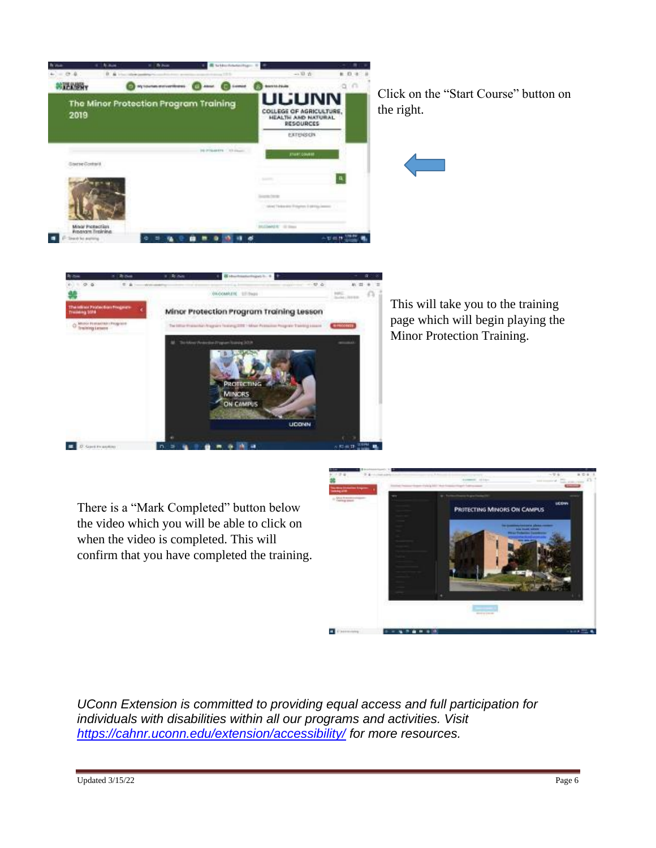

ab gint **HEAR** Minor Protection Program Training Lesson

> **NICRS THE CAMPER**

Click on the "Start Course" button on the right.

This will take you to the training page which will begin playing the Minor Protection Training.

There is a "Mark Completed" button below the video which you will be able to click on when the video is completed. This will confirm that you have completed the training.



*UConn Extension is committed to providing equal access and full participation for individuals with disabilities within all our programs and activities. Visit <https://cahnr.uconn.edu/extension/accessibility/> for more resources.*

**E** Dispersion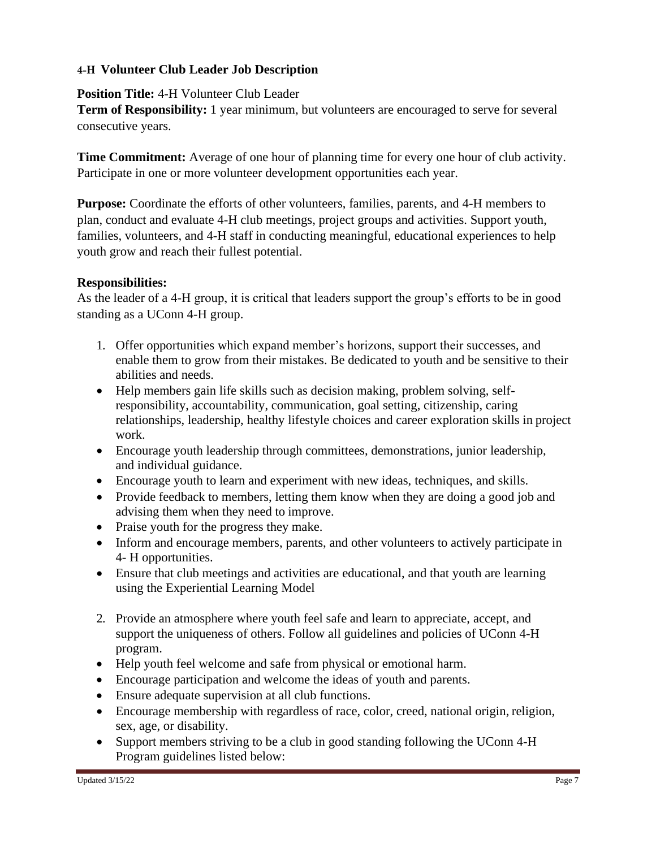#### **4-H Volunteer Club Leader Job Description**

**Position Title:** 4-H Volunteer Club Leader

**Term of Responsibility:** 1 year minimum, but volunteers are encouraged to serve for several consecutive years.

**Time Commitment:** Average of one hour of planning time for every one hour of club activity. Participate in one or more volunteer development opportunities each year.

**Purpose:** Coordinate the efforts of other volunteers, families, parents, and 4-H members to plan, conduct and evaluate 4-H club meetings, project groups and activities. Support youth, families, volunteers, and 4-H staff in conducting meaningful, educational experiences to help youth grow and reach their fullest potential.

### **Responsibilities:**

As the leader of a 4-H group, it is critical that leaders support the group's efforts to be in good standing as a UConn 4-H group.

- 1. Offer opportunities which expand member's horizons, support their successes, and enable them to grow from their mistakes. Be dedicated to youth and be sensitive to their abilities and needs.
- Help members gain life skills such as decision making, problem solving, selfresponsibility, accountability, communication, goal setting, citizenship, caring relationships, leadership, healthy lifestyle choices and career exploration skills in project work.
- Encourage youth leadership through committees, demonstrations, junior leadership, and individual guidance.
- Encourage youth to learn and experiment with new ideas, techniques, and skills.
- Provide feedback to members, letting them know when they are doing a good job and advising them when they need to improve.
- Praise youth for the progress they make.
- Inform and encourage members, parents, and other volunteers to actively participate in 4- H opportunities.
- Ensure that club meetings and activities are educational, and that youth are learning using the Experiential Learning Model
- 2. Provide an atmosphere where youth feel safe and learn to appreciate, accept, and support the uniqueness of others. Follow all guidelines and policies of UConn 4-H program.
- Help youth feel welcome and safe from physical or emotional harm.
- Encourage participation and welcome the ideas of youth and parents.
- Ensure adequate supervision at all club functions.
- Encourage membership with regardless of race, color, creed, national origin, religion, sex, age, or disability.
- Support members striving to be a club in good standing following the UConn 4-H Program guidelines listed below: